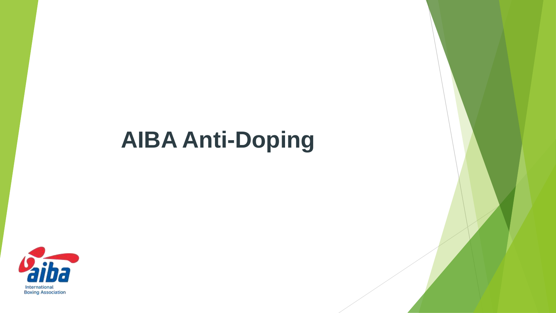# **AIBA Anti-Doping**

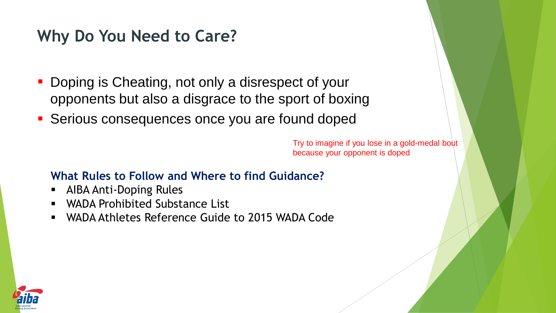## **Why Do You Need to Care?**

- Doping is Cheating, not only a disrespect of your opponents but also a disgrace to the sport of boxing
- **Serious consequences once you are found doped**

Try to imagine if you lose in a gold-medal bout because your opponent is doped

#### **What Rules to Follow and Where to find Guidance?**

- AIBA Anti-Doping Rules
- WADA Prohibited Substance List
- WADA Athletes Reference Guide to 2015 WADA Code

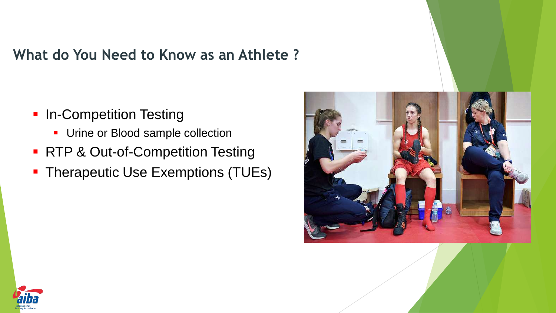#### **What do You Need to Know as an Athlete ?**

- **In-Competition Testing** 
	- **Urine or Blood sample collection**
- RTP & Out-of-Competition Testing
- **Therapeutic Use Exemptions (TUEs)**



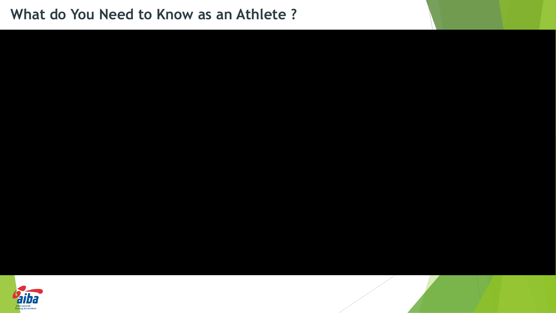#### **What do You Need to Know as an Athlete ?**

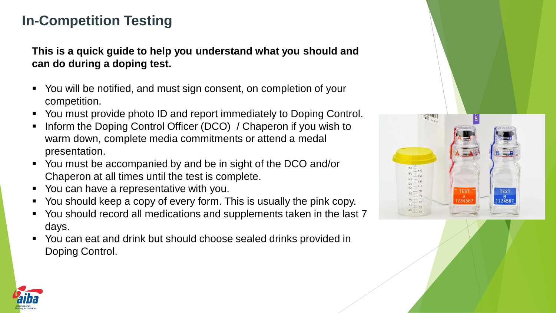#### **In-Competition Testing**

**This is a quick guide to help you understand what you should and can do during a doping test.** 

- You will be notified, and must sign consent, on completion of your competition.
- You must provide photo ID and report immediately to Doping Control.
- Inform the Doping Control Officer (DCO) / Chaperon if you wish to warm down, complete media commitments or attend a medal presentation.
- You must be accompanied by and be in sight of the DCO and/or Chaperon at all times until the test is complete.
- You can have a representative with you.
- You should keep a copy of every form. This is usually the pink copy.
- You should record all medications and supplements taken in the last 7 days.
- You can eat and drink but should choose sealed drinks provided in Doping Control.



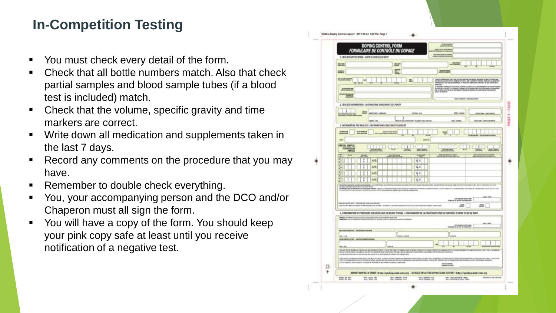### **In-Competition Testing**

- You must check every detail of the form.
- Check that all bottle numbers match. Also that check partial samples and blood sample tubes (if a blood test is included) match.
- Check that the volume, specific gravity and time markers are correct.
- Write down all medication and supplements taken in the last 7 days.
- Record any comments on the procedure that you may have.
- Remember to double check everything.
- You, your accompanying person and the DCO and/or Chaperon must all sign the form.
- You will have a copy of the form. You should keep your pink copy safe at least until you receive notification of a negative test.

|             | DOPING CONTROL FORM<br>FORMULAIRE DE CONTRÔLE DU DOPAGE<br><b>SCREAMENT</b><br><b>AND THE SERVICE</b><br><b>WELF-RIGHTENDER</b><br>1. IDIALITY INSTITUCTION - ROTATICATION CO SPONSY                                                                                                                                                                                                                                                                                                                                                                                             |  |  |  |  |  |
|-------------|----------------------------------------------------------------------------------------------------------------------------------------------------------------------------------------------------------------------------------------------------------------------------------------------------------------------------------------------------------------------------------------------------------------------------------------------------------------------------------------------------------------------------------------------------------------------------------|--|--|--|--|--|
|             | will be a<br><b>REAL</b><br>加热                                                                                                                                                                                                                                                                                                                                                                                                                                                                                                                                                   |  |  |  |  |  |
|             | E<br>ALCOHOL: UNITS<br><b>SHOP</b>                                                                                                                                                                                                                                                                                                                                                                                                                                                                                                                                               |  |  |  |  |  |
|             | <b><i>START START STARTS</i></b>                                                                                                                                                                                                                                                                                                                                                                                                                                                                                                                                                 |  |  |  |  |  |
|             | $\overline{1}$<br><b>LANGUAGE THE</b><br>.<br>All the state of the second continues, colorated use and a cryptal constrainty as small of<br>All the state and state and second contact and state and state and state and state and state<br>All the state and statistical contac<br><b>AUTOMOTIVE</b>                                                                                                                                                                                                                                                                            |  |  |  |  |  |
|             | <b>HAMES</b>                                                                                                                                                                                                                                                                                                                                                                                                                                                                                                                                                                     |  |  |  |  |  |
|             | <b>PERSONAL</b><br><b>BE GRANDED</b>                                                                                                                                                                                                                                                                                                                                                                                                                                                                                                                                             |  |  |  |  |  |
|             | 2. 4THLITE INFORMATION - INVURNATION CONCERNANT LEEPORTY                                                                                                                                                                                                                                                                                                                                                                                                                                                                                                                         |  |  |  |  |  |
|             | <b>SEE painter assure</b><br><b>LES HANG</b><br><b><i>USTRA-ALL</i></b><br>contract sales is adapted to                                                                                                                                                                                                                                                                                                                                                                                                                                                                          |  |  |  |  |  |
|             | <b>DIST  95</b><br>SLAN (WHY IS - 5) (WHY AN UNION<br><b>ME / HTML/STORIES</b><br><b>HELL</b> LYBER<br>1. INFORMATION FOR AKALYSIS - INFORMATION SCONCERNANT ZAKAZYSE                                                                                                                                                                                                                                                                                                                                                                                                            |  |  |  |  |  |
|             | 2008033<br><b>PER CRESTIN</b><br>34911027410                                                                                                                                                                                                                                                                                                                                                                                                                                                                                                                                     |  |  |  |  |  |
|             | 100.00 000<br><b>EWI</b>                                                                                                                                                                                                                                                                                                                                                                                                                                                                                                                                                         |  |  |  |  |  |
|             | <b>PARTIAL SAMPLE</b><br>ŧ<br>I                                                                                                                                                                                                                                                                                                                                                                                                                                                                                                                                                  |  |  |  |  |  |
|             | <b>CONNECTION</b><br><b>Michi</b><br><b>MAY, NORM.</b><br>用图<br>÷h<br>WEIGHTED STAY<br><b>RESIDENTS AND STRUCKS</b><br>w.<br><b>P-16 A-1</b>                                                                                                                                                                                                                                                                                                                                                                                                                                     |  |  |  |  |  |
|             | K.<br>I<br>A/B<br>1.0<br>ю                                                                                                                                                                                                                                                                                                                                                                                                                                                                                                                                                       |  |  |  |  |  |
|             | æ<br>A/II<br>$1 + 0$<br>ю                                                                                                                                                                                                                                                                                                                                                                                                                                                                                                                                                        |  |  |  |  |  |
| □<br>$^{+}$ | æп<br>A/B<br>1,0<br>u.                                                                                                                                                                                                                                                                                                                                                                                                                                                                                                                                                           |  |  |  |  |  |
|             | 27<br>A/B<br>1, 0<br>яG                                                                                                                                                                                                                                                                                                                                                                                                                                                                                                                                                          |  |  |  |  |  |
|             | intribut a administratif describing pages) . Aposto a administrativa professoria a collectivati a aposan Conti<br>Ad the stabilization of consists of exact that the designed which also actual as canada and<br>100.003<br><b>CONTRACTOR DE SUR DES</b><br>DIREKT DUELS AND - CONSISTENT PRINT JESSEN ROLL<br>UNITED SPECIFIERS AND A RESULT OF A SECTION OF A SECTION OF CONTRACTOR CONTRACTOR OF A SECTION OF A SECTION OF<br>.200<br>щ<br>A. CONFIDENTION OF PROCEDURE FOR UNINE AND/OR BLOOD TESTING + CONFIRMATION OF LA PROCEDURE POOR LE CONTRÔLE D'URINE ET/03/38' JANE |  |  |  |  |  |
|             | POMERS LIFT MARKET ANNOUNCED AND LODGED COMMUNICATION CONTINUES IN THE TOP OF<br>89.180<br>THE CONTRACT OF THE ASSESSED FOR                                                                                                                                                                                                                                                                                                                                                                                                                                                      |  |  |  |  |  |
|             | <b>MASS STRAKING - APROVATIVE PRINT</b>                                                                                                                                                                                                                                                                                                                                                                                                                                                                                                                                          |  |  |  |  |  |
|             | <b>JNE 1 891</b><br>Local Local<br>STACKSHIPS FOR 1 ABRICATIONS                                                                                                                                                                                                                                                                                                                                                                                                                                                                                                                  |  |  |  |  |  |
|             | (493) - 209                                                                                                                                                                                                                                                                                                                                                                                                                                                                                                                                                                      |  |  |  |  |  |
|             | THE OCCUPATION OF A REPORTED HIS CORP. THE REPORT OF A RECOVERED A 1997 VICTOR ACCOUNTS A STANDARD OF THE MISSION OF REPORT OF THE STANDARD CONTRACT OF A STANDARD CONTRACT OF A STANDARD CONTRACT OF A STANDARD CONTRACT OF A<br>HALLMARK ARCHITECT IN THIRD ALL CHARGE IN A REPORT A RUSSIAN SERVICE AND CONTROL                                                                                                                                                                                                                                                               |  |  |  |  |  |
|             | A RELATED TRYING TO THE COUNTRY AND A STOLET WAY TO DESCRIPTION A STOLET AND THE CONTROL CONTROL CONTROL PRODUCTS AND THE STOLEN AND THE CONTROL CONTROL CONTROL CONTROL CONTROL CONTROL CONTROL CONTROL CONTROL CONTROL CONTR<br>AN A 5T STRAPPLE CO START AND ART CONTROLLED AND RELEASED FOR MINOR CONTROLLED SERVICIDATE.<br>ENTERNANT                                                                                                                                                                                                                                       |  |  |  |  |  |
|             | REPORT DOPING IN SPORT: https://speaking.org/a-seda-uma.org - SHIMLEF ON ACTEDE DOVINE DAMS at SPORT : Https://goodle.gov.adv-e-ma.org                                                                                                                                                                                                                                                                                                                                                                                                                                           |  |  |  |  |  |
|             |                                                                                                                                                                                                                                                                                                                                                                                                                                                                                                                                                                                  |  |  |  |  |  |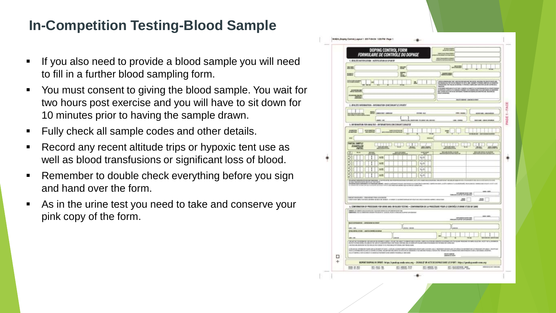#### **In-Competition Testing-Blood Sample**

- If you also need to provide a blood sample you will need to fill in a further blood sampling form.
- You must consent to giving the blood sample. You wait for two hours post exercise and you will have to sit down for 10 minutes prior to having the sample drawn.
- **Fully check all sample codes and other details.**
- **Record any recent altitude trips or hypoxic tent use as** well as blood transfusions or significant loss of blood.
- **Remember to double check everything before you sign** and hand over the form.
- As in the urine test you need to take and conserve your pink copy of the form.

|                                                        |                                                                                                                                                                                                                                                                                                                                                |                                                         |                                      | P/Montreal         |                                      |  |  |
|--------------------------------------------------------|------------------------------------------------------------------------------------------------------------------------------------------------------------------------------------------------------------------------------------------------------------------------------------------------------------------------------------------------|---------------------------------------------------------|--------------------------------------|--------------------|--------------------------------------|--|--|
|                                                        |                                                                                                                                                                                                                                                                                                                                                | DOPING CONTROL FORM<br>FORMULAIRE DE CONTRÔLE DU DOPAGE |                                      | <b>Ing Stormer</b> |                                      |  |  |
|                                                        | 1. IDIALITY NOTIFICATION - ROTATICATION OR SPONSY                                                                                                                                                                                                                                                                                              |                                                         |                                      |                    | <b>REAL Professional disclosurer</b> |  |  |
| 201205                                                 | an Pistone<br><b>Hiller</b>                                                                                                                                                                                                                                                                                                                    |                                                         |                                      |                    |                                      |  |  |
| <b>STEP</b>                                            | 酛<br>AMARINEZ                                                                                                                                                                                                                                                                                                                                  |                                                         |                                      |                    |                                      |  |  |
| INVARIABLE                                             |                                                                                                                                                                                                                                                                                                                                                | 医                                                       |                                      |                    |                                      |  |  |
|                                                        |                                                                                                                                                                                                                                                                                                                                                |                                                         |                                      |                    |                                      |  |  |
| 22323                                                  | a describir andares processor and connected and a current memorial or many con-<br>All contrast as agents, or a plasma constant and disposition through an additional contrast.<br>All contrasts are all contrasts of the constant o                                                                                                           |                                                         |                                      |                    |                                      |  |  |
| <b>WELL</b>                                            |                                                                                                                                                                                                                                                                                                                                                |                                                         |                                      |                    | <b>BE CONTROLLED</b>                 |  |  |
|                                                        | 2. 4TH ITE INFORMATION - INSURALITIEN CONCERNANT LEGACIER                                                                                                                                                                                                                                                                                      |                                                         |                                      |                    |                                      |  |  |
|                                                        | <b>MES</b> AMASSAD ANGLIN                                                                                                                                                                                                                                                                                                                      |                                                         | <b>SECRETARY</b>                     | 2012-House         | permitted calculate                  |  |  |
|                                                        |                                                                                                                                                                                                                                                                                                                                                |                                                         |                                      |                    |                                      |  |  |
|                                                        | 20091-002<br>1. INFORMATION FOR ANALYSIS - INFORMATIONSCONCERNANT EARAILYST                                                                                                                                                                                                                                                                    |                                                         | 19, Mr. (WWW.IDE - 9) (WWW.IN), (WVW |                    | <b>WHAT'S</b>                        |  |  |
|                                                        | <b>PER CHRISTIN</b>                                                                                                                                                                                                                                                                                                                            | <b>Substitution and</b>                                 |                                      |                    |                                      |  |  |
|                                                        | $\sim$                                                                                                                                                                                                                                                                                                                                         |                                                         |                                      |                    |                                      |  |  |
| ewi-                                                   |                                                                                                                                                                                                                                                                                                                                                |                                                         | 10010-008                            |                    |                                      |  |  |
| <b>PARTIAL SAMPLE</b><br>ECHANTILLON<br><b>PARTIES</b> |                                                                                                                                                                                                                                                                                                                                                | Ŧ<br>mms                                                | <b>MAD, SURFA</b>                    |                    | m                                    |  |  |
| w                                                      | w<br>-                                                                                                                                                                                                                                                                                                                                         |                                                         | <b>PURE AL</b>                       | WEIGHTENCHER<br>٠  | <b><i>RESACHING BEAUTY</i></b>       |  |  |
| ĸc                                                     | 1<br>A/B                                                                                                                                                                                                                                                                                                                                       |                                                         | 74.0                                 |                    |                                      |  |  |
| ĸ                                                      | A/II                                                                                                                                                                                                                                                                                                                                           |                                                         | $1 + 0$                              |                    |                                      |  |  |
| æ                                                      | A/B                                                                                                                                                                                                                                                                                                                                            |                                                         | 1,0                                  |                    |                                      |  |  |
| z                                                      | A/B                                                                                                                                                                                                                                                                                                                                            |                                                         | 1, 0                                 |                    |                                      |  |  |
|                                                        | FORE WARRINGTON WEAPONE ASSAULT THE GREAT POINT AND A RESIDENCE OF FOR<br><b>BERGHAM NAVERAL (214-5)</b><br>president to a product latitude to a state<br>MARKET TO A REAL PROPERTY AND THE CONTRACT THE REAL PROPERTY AND RELEASED.                                                                                                           |                                                         |                                      |                    |                                      |  |  |
|                                                        |                                                                                                                                                                                                                                                                                                                                                |                                                         |                                      |                    |                                      |  |  |
|                                                        | <b>NHILLING</b><br>SITUATION SPACES                                                                                                                                                                                                                                                                                                            |                                                         |                                      |                    |                                      |  |  |
|                                                        | TORO ATT DE AL CARDA - CONSTANTINO TWOR CORPORATION<br>an i<br>THE EXTERPT WAR UP THERE BY AN OWNER WE WANT THE UNKNOWN TO AN ART OF DETAIL OF THE RESIDENT CONTROL OF THE RESIDENCE OF FEMALES.<br>.200                                                                                                                                       |                                                         |                                      |                    |                                      |  |  |
|                                                        | A. CONFIDENTION OF PROCEDURE FOR UNINE AND/OR BLOOD SESSING + CONFIRMATION OF LA PROCEDURE POOR LE CONTRÔLE D'URINE ET/SUV DE JANE                                                                                                                                                                                                             |                                                         |                                      |                    |                                      |  |  |
|                                                        | COMMERCIA DE CARRIERE DIALIZATA DE LA CALICIA DE ESTADO DEL CONSTITUITO DE CONSTITUITO DE ESTADO DE CONSTITUITO DE                                                                                                                                                                                                                             |                                                         |                                      |                    |                                      |  |  |
|                                                        | 193,1971<br><b>THE CARD COMPANY OF CARD CARD COMPANY</b>                                                                                                                                                                                                                                                                                       |                                                         |                                      |                    |                                      |  |  |
|                                                        | MASS STRAIGHTER - GENERALDE WITHOUT                                                                                                                                                                                                                                                                                                            |                                                         |                                      |                    |                                      |  |  |
| 1,042 + 498                                            | Littera comm                                                                                                                                                                                                                                                                                                                                   |                                                         |                                      |                    |                                      |  |  |
|                                                        | GONZIATOS ATODI - ADATOLOMPAŽCAVARNAE                                                                                                                                                                                                                                                                                                          |                                                         |                                      |                    |                                      |  |  |
|                                                        | 1001100<br>THE RESERVE REMOVE AND RESERVED THREE THIS PART REMOVEMENT SERVED TO A CONSTRUCTION OF THE MENTION WITH THE RESERVED REMOVED A REMOVED A REMOVED A REMOVED A REMOVED A REMOVED A REMOVED A REMOVED A REMOVED A REMOVED A REMOV                                                                                                      |                                                         |                                      |                    |                                      |  |  |
|                                                        | vehicles are demonstrated by the relation designation to be demonstrated at this business and control of the<br>A ROLE DE CHRISTIN PROVINCIA DEL CARLO COMPRETADO DE CONSUMIDADE DE CARDO DE COMPRETADO DE COMPRETADO MUNHAR DE COMPRETADO DE COMPRETADO DE COMPRETADO DE COMPRETADO DE COMPRETADO DE COMPRETADO DE COMPRETADO DE COMPRETADO D |                                                         |                                      |                    |                                      |  |  |
|                                                        | ALLE TOWNS LESSEN WORK FLAT DESIGN AT PARKING IN THE RESIN EST ORIGINAL                                                                                                                                                                                                                                                                        |                                                         |                                      |                    |                                      |  |  |
| □                                                      | ENTERNANT                                                                                                                                                                                                                                                                                                                                      |                                                         |                                      |                    |                                      |  |  |
|                                                        |                                                                                                                                                                                                                                                                                                                                                |                                                         |                                      |                    |                                      |  |  |
| ÷                                                      | REPORT DOPING IN SPORT: https://speak.op.neda.org.a. SHANLEF DKACTEDEDOPACEDAMS of SPORT: Intercompensional comp.org                                                                                                                                                                                                                           |                                                         |                                      |                    |                                      |  |  |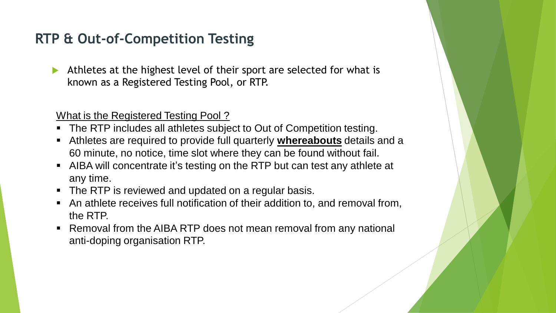#### **RTP & Out-of-Competition Testing**

 Athletes at the highest level of their sport are selected for what is known as a Registered Testing Pool, or RTP.

What is the Registered Testing Pool ?

- The RTP includes all athletes subject to Out of Competition testing.
- Athletes are required to provide full quarterly **whereabouts** details and a 60 minute, no notice, time slot where they can be found without fail.
- AIBA will concentrate it's testing on the RTP but can test any athlete at any time.
- The RTP is reviewed and updated on a regular basis.
- An athlete receives full notification of their addition to, and removal from, the RTP.
- Removal from the AIBA RTP does not mean removal from any national anti-doping organisation RTP.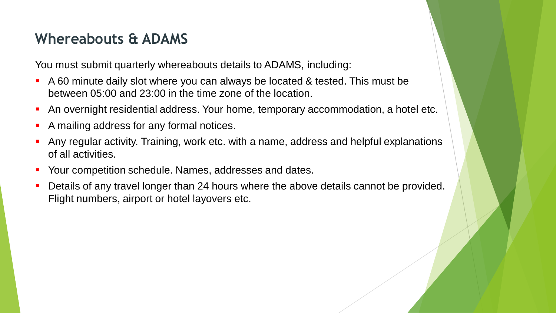#### **Whereabouts & ADAMS**

You must submit quarterly whereabouts details to ADAMS, including:

- A 60 minute daily slot where you can always be located & tested. This must be between 05:00 and 23:00 in the time zone of the location.
- An overnight residential address. Your home, temporary accommodation, a hotel etc.
- A mailing address for any formal notices.
- Any regular activity. Training, work etc. with a name, address and helpful explanations of all activities.
- Your competition schedule. Names, addresses and dates.
- Details of any travel longer than 24 hours where the above details cannot be provided. Flight numbers, airport or hotel layovers etc.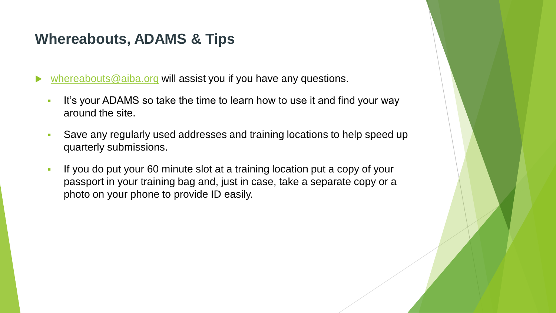#### **Whereabouts, ADAMS & Tips**

[whereabouts@aiba.org](mailto:whereabouts@aiba.org) will assist you if you have any questions.

- It's your ADAMS so take the time to learn how to use it and find your way around the site.
- Save any regularly used addresses and training locations to help speed up quarterly submissions.
- If you do put your 60 minute slot at a training location put a copy of your passport in your training bag and, just in case, take a separate copy or a photo on your phone to provide ID easily.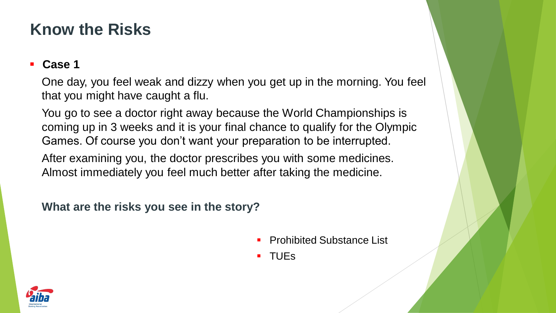## **Know the Risks**

#### **Case 1**

One day, you feel weak and dizzy when you get up in the morning. You feel that you might have caught a flu.

You go to see a doctor right away because the World Championships is coming up in 3 weeks and it is your final chance to qualify for the Olympic Games. Of course you don't want your preparation to be interrupted.

After examining you, the doctor prescribes you with some medicines. Almost immediately you feel much better after taking the medicine.

**What are the risks you see in the story?** 

Prohibited Substance List

TUEs

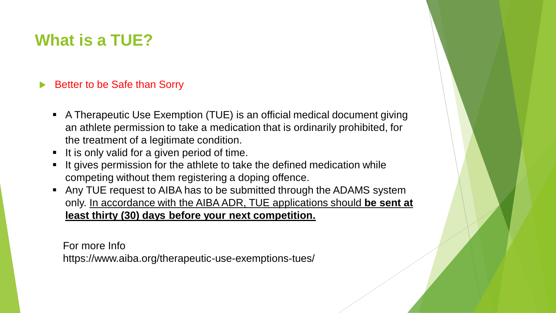## **What is a TUE?**

#### ▶ Better to be Safe than Sorry

- A Therapeutic Use Exemption (TUE) is an official medical document giving an athlete permission to take a medication that is ordinarily prohibited, for the treatment of a legitimate condition.
- It is only valid for a given period of time.
- It gives permission for the athlete to take the defined medication while competing without them registering a doping offence.
- Any TUE request to AIBA has to be submitted through the ADAMS system only. In accordance with the AIBA ADR, TUE applications should **be sent at least thirty (30) days before your next competition.**

For more Info https://www.aiba.org/therapeutic-use-exemptions-tues/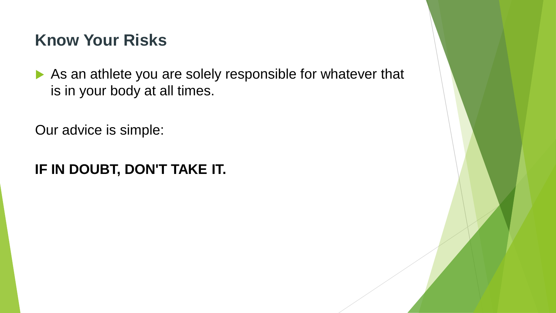## **Know Your Risks**

As an athlete you are solely responsible for whatever that is in your body at all times.

Our advice is simple:

### **IF IN DOUBT, DON'T TAKE IT.**